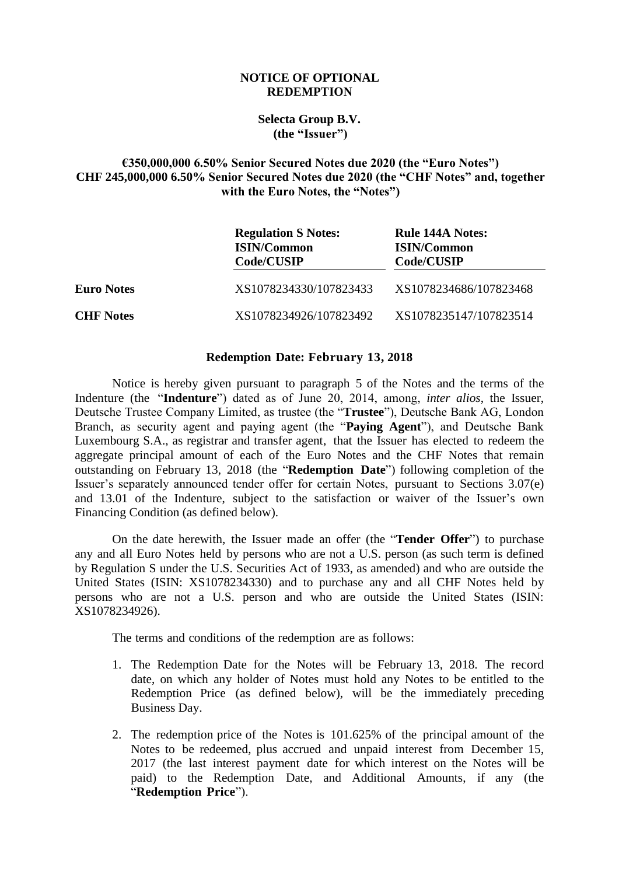## **NOTICE OF OPTIONAL REDEMPTION**

## **Selecta Group B.V. (the "Issuer")**

## **€350,000,000 6.50% Senior Secured Notes due 2020 (the "Euro Notes") CHF 245,000,000 6.50% Senior Secured Notes due 2020 (the "CHF Notes" and, together with the Euro Notes, the "Notes")**

|                   | <b>Regulation S Notes:</b><br><b>ISIN/Common</b><br>Code/CUSIP | Rule 144A Notes:<br><b>ISIN/Common</b><br>Code/CUSIP |
|-------------------|----------------------------------------------------------------|------------------------------------------------------|
| <b>Euro Notes</b> | XS1078234330/107823433                                         | XS1078234686/107823468                               |
| <b>CHF</b> Notes  | XS1078234926/107823492                                         | XS1078235147/107823514                               |

## **Redemption Date: February 13, 2018**

Notice is hereby given pursuant to paragraph 5 of the Notes and the terms of the Indenture (the "**Indenture**") dated as of June 20, 2014, among, *inter alios*, the Issuer, Deutsche Trustee Company Limited, as trustee (the "**Trustee**"), Deutsche Bank AG, London Branch, as security agent and paying agent (the "**Paying Agent**"), and Deutsche Bank Luxembourg S.A., as registrar and transfer agent, that the Issuer has elected to redeem the aggregate principal amount of each of the Euro Notes and the CHF Notes that remain outstanding on February 13, 2018 (the "**Redemption Date**") following completion of the Issuer's separately announced tender offer for certain Notes, pursuant to Sections 3.07(e) and 13.01 of the Indenture, subject to the satisfaction or waiver of the Issuer's own Financing Condition (as defined below).

On the date herewith, the Issuer made an offer (the "**Tender Offer**") to purchase any and all Euro Notes held by persons who are not a U.S. person (as such term is defined by Regulation S under the U.S. Securities Act of 1933, as amended) and who are outside the United States (ISIN: XS1078234330) and to purchase any and all CHF Notes held by persons who are not a U.S. person and who are outside the United States (ISIN: XS1078234926).

The terms and conditions of the redemption are as follows:

- 1. The Redemption Date for the Notes will be February 13, 2018. The record date, on which any holder of Notes must hold any Notes to be entitled to the Redemption Price (as defined below), will be the immediately preceding Business Day.
- 2. The redemption price of the Notes is 101.625% of the principal amount of the Notes to be redeemed, plus accrued and unpaid interest from December 15, 2017 (the last interest payment date for which interest on the Notes will be paid) to the Redemption Date, and Additional Amounts, if any (the "**Redemption Price**").